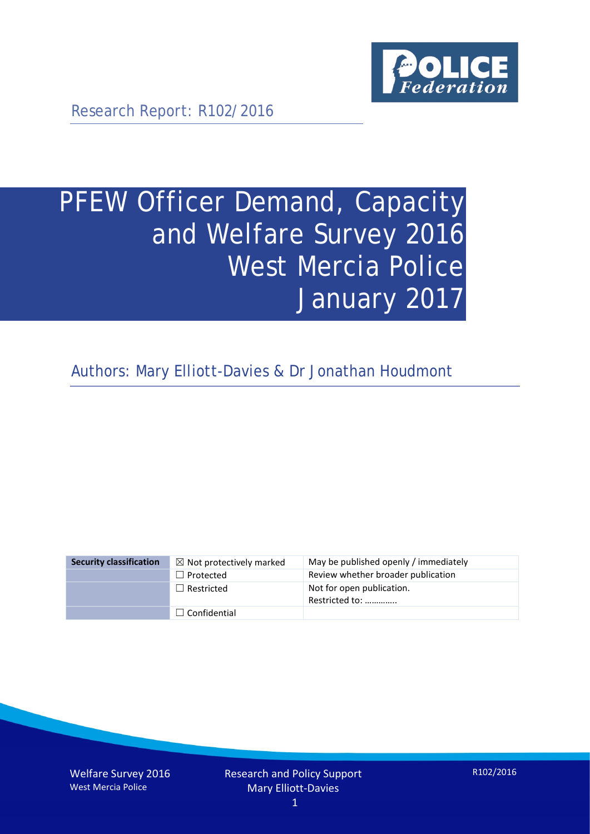

Research Report: R102/2016

# PFEW Officer Demand, Capacity and Welfare Survey 2016 West Mercia Police January 2017

Authors: Mary Elliott-Davies & Dr Jonathan Houdmont

| <b>Security classification</b> | $\boxtimes$ Not protectively marked | May be published openly / immediately       |
|--------------------------------|-------------------------------------|---------------------------------------------|
|                                | $\Box$ Protected                    | Review whether broader publication          |
|                                | $\Box$ Restricted                   | Not for open publication.<br>Restricted to: |
|                                | $\Box$ Confidential                 |                                             |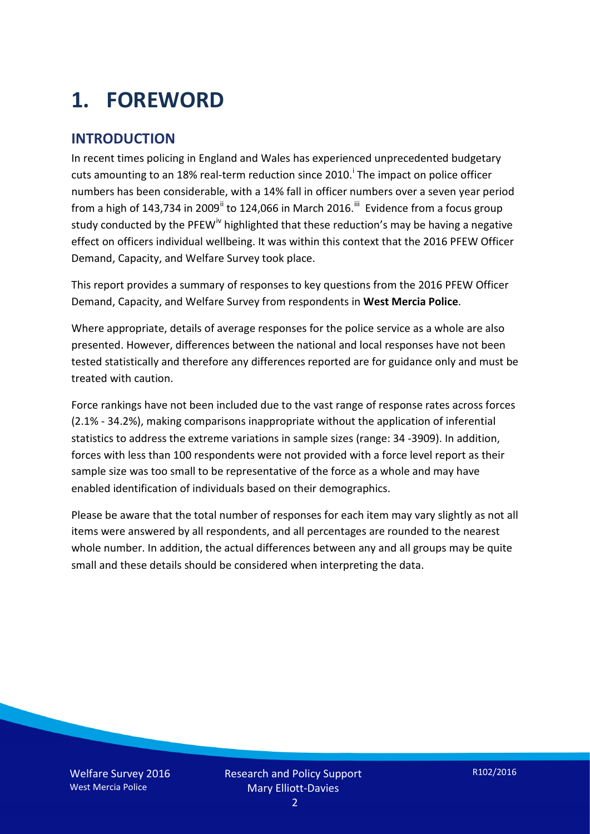# **1. FOREWORD**

### **INTRODUCTION**

In recent times policing in England and Wales has experienced unprecedented budgetary cuts amount[i](#page-15-0)ng to an 18% real-term reduction since 2010.<sup>1</sup> The impact on police officer numbers has been considerable, with a 14% fall in officer numbers over a seven year period from a high of 143,734 in 2009<sup>[ii](#page-15-1)</sup> to 124,066 in March 2016.<sup>[iii](#page-15-2)</sup> Evidence from a focus group study conducted by the PFEW<sup>[iv](#page-15-3)</sup> highlighted that these reduction's may be having a negative effect on officers individual wellbeing. It was within this context that the 2016 PFEW Officer Demand, Capacity, and Welfare Survey took place.

This report provides a summary of responses to key questions from the 2016 PFEW Officer Demand, Capacity, and Welfare Survey from respondents in **West Mercia Police**.

Where appropriate, details of average responses for the police service as a whole are also presented. However, differences between the national and local responses have not been tested statistically and therefore any differences reported are for guidance only and must be treated with caution.

Force rankings have not been included due to the vast range of response rates across forces (2.1% - 34.2%), making comparisons inappropriate without the application of inferential statistics to address the extreme variations in sample sizes (range: 34 -3909). In addition, forces with less than 100 respondents were not provided with a force level report as their sample size was too small to be representative of the force as a whole and may have enabled identification of individuals based on their demographics.

Please be aware that the total number of responses for each item may vary slightly as not all items were answered by all respondents, and all percentages are rounded to the nearest whole number. In addition, the actual differences between any and all groups may be quite small and these details should be considered when interpreting the data.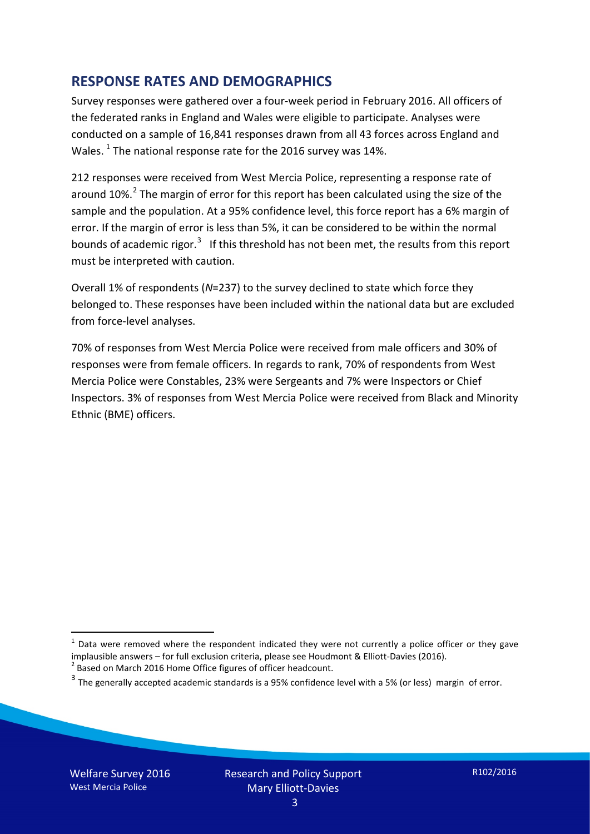### **RESPONSE RATES AND DEMOGRAPHICS**

Survey responses were gathered over a four-week period in February 2016. All officers of the federated ranks in England and Wales were eligible to participate. Analyses were conducted on a sample of 16,841 responses drawn from all 43 forces across England and Wales.  $^1$  $^1$  The national response rate for the 2016 survey was 14%.

212 responses were received from West Mercia Police, representing a response rate of around 10%.<sup>[2](#page-2-1)</sup> The margin of error for this report has been calculated using the size of the sample and the population. At a 95% confidence level, this force report has a 6% margin of error. If the margin of error is less than 5%, it can be considered to be within the normal bounds of academic rigor.<sup>[3](#page-2-2)</sup> If this threshold has not been met, the results from this report must be interpreted with caution.

Overall 1% of respondents (*N*=237) to the survey declined to state which force they belonged to. These responses have been included within the national data but are excluded from force-level analyses.

70% of responses from West Mercia Police were received from male officers and 30% of responses were from female officers. In regards to rank, 70% of respondents from West Mercia Police were Constables, 23% were Sergeants and 7% were Inspectors or Chief Inspectors. 3% of responses from West Mercia Police were received from Black and Minority Ethnic (BME) officers.

<u>.</u>

<span id="page-2-0"></span> $1$  Data were removed where the respondent indicated they were not currently a police officer or they gave implausible answers – for full exclusion criteria, please see Houdmont & Elliott-Davies (2016).<br><sup>2</sup> Based on March 2016 Home Office figures of officer headcount.

<span id="page-2-1"></span>

<span id="page-2-2"></span> $3$  The generally accepted academic standards is a 95% confidence level with a 5% (or less) margin of error.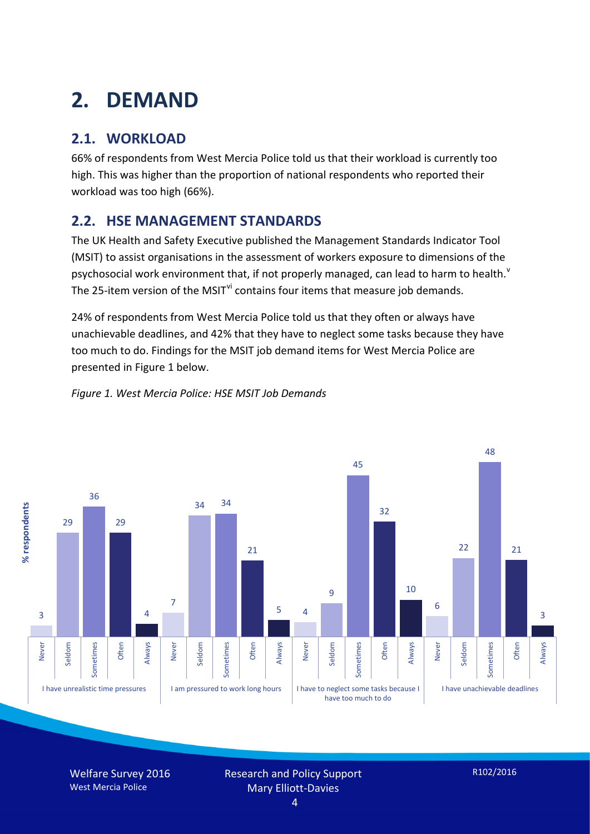# **2. DEMAND**

# **2.1. WORKLOAD**

66% of respondents from West Mercia Police told us that their workload is currently too high. This was higher than the proportion of national respondents who reported their workload was too high (66%).

# **2.2. HSE MANAGEMENT STANDARDS**

The UK Health and Safety Executive published the Management Standards Indicator Tool (MSIT) to assist organisations in the assessment of workers exposure to dimensions of the psychosocial work en[v](#page-15-4)ironment that, if not properly managed, can lead to harm to health.<sup>v</sup> The 25-item version of the MSIT<sup>[vi](#page-15-5)</sup> contains four items that measure job demands.

24% of respondents from West Mercia Police told us that they often or always have unachievable deadlines, and 42% that they have to neglect some tasks because they have too much to do. Findings for the MSIT job demand items for West Mercia Police are presented in Figure 1 below.





Welfare Survey 2016 West Mercia Police

Research and Policy Support Mary Elliott-Davies

R102/2016

4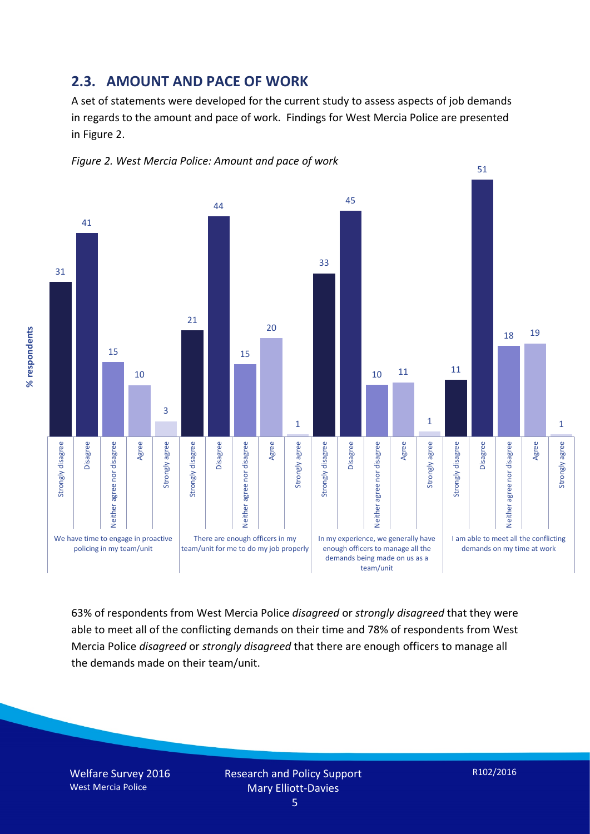#### **2.3. AMOUNT AND PACE OF WORK**

A set of statements were developed for the current study to assess aspects of job demands in regards to the amount and pace of work. Findings for West Mercia Police are presented in Figure 2.





63% of respondents from West Mercia Police *disagreed* or *strongly disagreed* that they were able to meet all of the conflicting demands on their time and 78% of respondents from West Mercia Police *disagreed* or *strongly disagreed* that there are enough officers to manage all the demands made on their team/unit.

Welfare Survey 2016 West Mercia Police

% respondents **% respondents**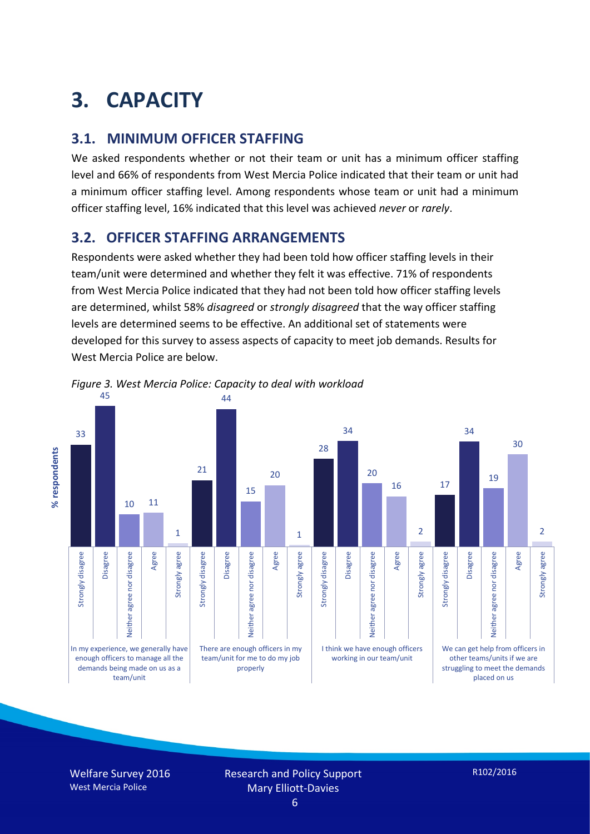# **3. CAPACITY**

## **3.1. MINIMUM OFFICER STAFFING**

We asked respondents whether or not their team or unit has a minimum officer staffing level and 66% of respondents from West Mercia Police indicated that their team or unit had a minimum officer staffing level. Among respondents whose team or unit had a minimum officer staffing level, 16% indicated that this level was achieved *never* or *rarely*.

## **3.2. OFFICER STAFFING ARRANGEMENTS**

Respondents were asked whether they had been told how officer staffing levels in their team/unit were determined and whether they felt it was effective. 71% of respondents from West Mercia Police indicated that they had not been told how officer staffing levels are determined, whilst 58% *disagreed* or *strongly disagreed* that the way officer staffing levels are determined seems to be effective. An additional set of statements were developed for this survey to assess aspects of capacity to meet job demands. Results for West Mercia Police are below.



*Figure 3. West Mercia Police: Capacity to deal with workload*

Welfare Survey 2016 West Mercia Police

Research and Policy Support Mary Elliott-Davies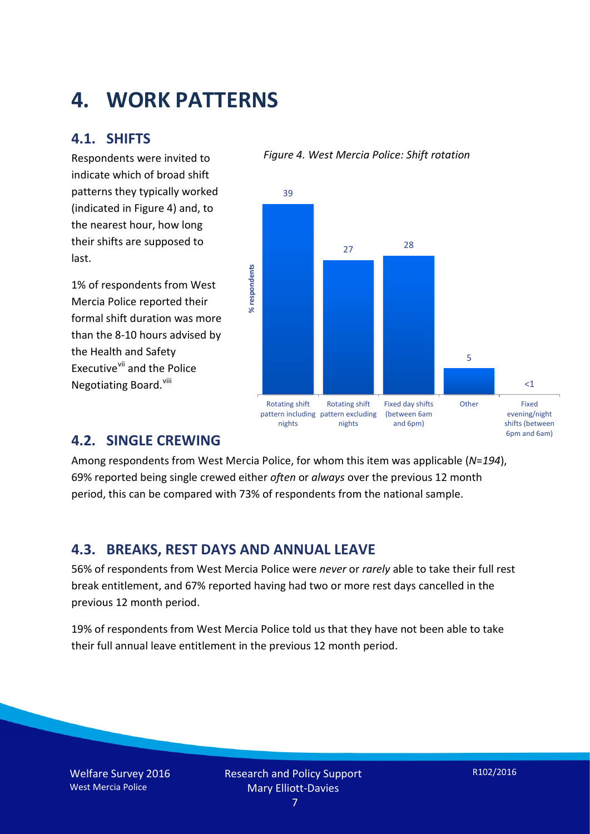# **4. WORK PATTERNS**

### **4.1. SHIFTS**

Respondents were invited to indicate which of broad shift patterns they typically worked (indicated in Figure 4) and, to the nearest hour, how long their shifts are supposed to last.

1% of respondents from West Mercia Police reported their formal shift duration was more than the 8-10 hours advised by the Health and Safety Executive<sup>[vii](#page-15-6)</sup> and the Police Negotiating Board.<sup>[viii](#page-15-7)</sup>

#### *Figure 4. West Mercia Police: Shift rotation*



### **4.2. SINGLE CREWING**

Among respondents from West Mercia Police, for whom this item was applicable (*N*=*194*), 69% reported being single crewed either *often* or *always* over the previous 12 month period, this can be compared with 73% of respondents from the national sample.

### **4.3. BREAKS, REST DAYS AND ANNUAL LEAVE**

56% of respondents from West Mercia Police were *never* or *rarely* able to take their full rest break entitlement, and 67% reported having had two or more rest days cancelled in the previous 12 month period.

19% of respondents from West Mercia Police told us that they have not been able to take their full annual leave entitlement in the previous 12 month period.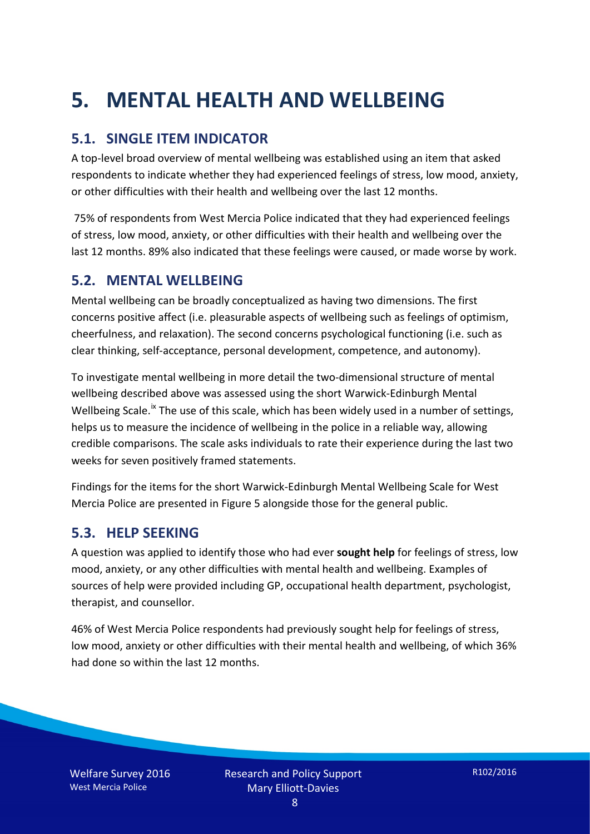# **5. MENTAL HEALTH AND WELLBEING**

# **5.1. SINGLE ITEM INDICATOR**

A top-level broad overview of mental wellbeing was established using an item that asked respondents to indicate whether they had experienced feelings of stress, low mood, anxiety, or other difficulties with their health and wellbeing over the last 12 months.

75% of respondents from West Mercia Police indicated that they had experienced feelings of stress, low mood, anxiety, or other difficulties with their health and wellbeing over the last 12 months. 89% also indicated that these feelings were caused, or made worse by work.

### **5.2. MENTAL WELLBEING**

Mental wellbeing can be broadly conceptualized as having two dimensions. The first concerns positive affect (i.e. pleasurable aspects of wellbeing such as feelings of optimism, cheerfulness, and relaxation). The second concerns psychological functioning (i.e. such as clear thinking, self-acceptance, personal development, competence, and autonomy).

To investigate mental wellbeing in more detail the two-dimensional structure of mental wellbeing described above was assessed using the short Warwick-Edinburgh Mental Wellbeing Scale.<sup>[ix](#page-15-8)</sup> The use of this scale, which has been widely used in a number of settings, helps us to measure the incidence of wellbeing in the police in a reliable way, allowing credible comparisons. The scale asks individuals to rate their experience during the last two weeks for seven positively framed statements.

Findings for the items for the short Warwick-Edinburgh Mental Wellbeing Scale for West Mercia Police are presented in Figure 5 alongside those for the general public.

### **5.3. HELP SEEKING**

A question was applied to identify those who had ever **sought help** for feelings of stress, low mood, anxiety, or any other difficulties with mental health and wellbeing. Examples of sources of help were provided including GP, occupational health department, psychologist, therapist, and counsellor.

46% of West Mercia Police respondents had previously sought help for feelings of stress, low mood, anxiety or other difficulties with their mental health and wellbeing, of which 36% had done so within the last 12 months.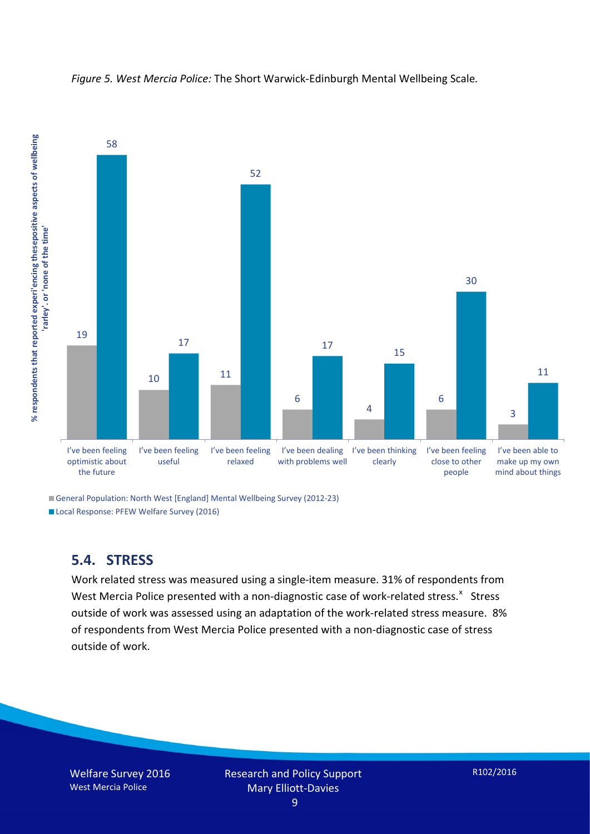

*Figure 5. West Mercia Police:* The Short Warwick-Edinburgh Mental Wellbeing Scale*.*

General Population: North West [England] Mental Wellbeing Survey (2012-23)

Local Response: PFEW Welfare Survey (2016)

# **5.4. STRESS**

Work related stress was measured using a single-item measure. 31% of respondents from West Mercia Police presented with a non-diagnostic case of work-related stress. $x$  Stress outside of work was assessed using an adaptation of the work-related stress measure. 8% of respondents from West Mercia Police presented with a non-diagnostic case of stress outside of work.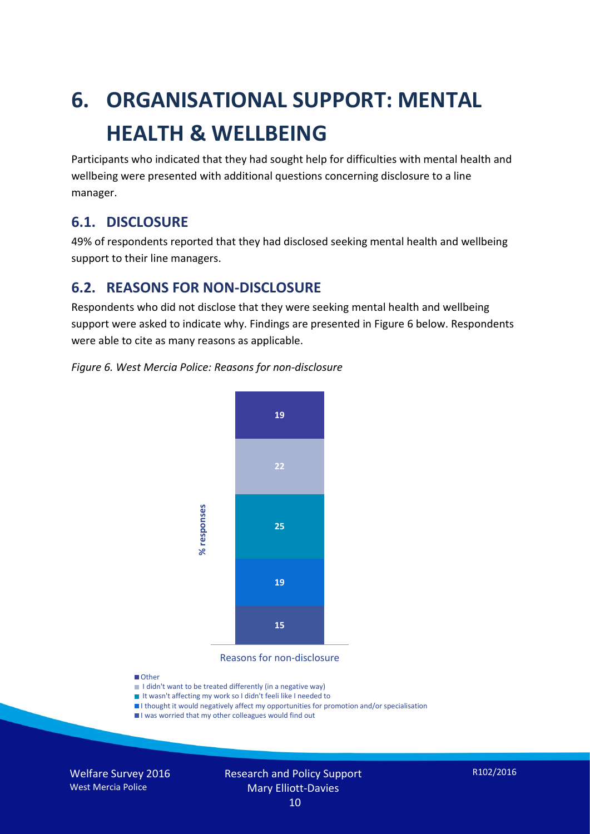# **6. ORGANISATIONAL SUPPORT: MENTAL HEALTH & WELLBEING**

Participants who indicated that they had sought help for difficulties with mental health and wellbeing were presented with additional questions concerning disclosure to a line manager.

### **6.1. DISCLOSURE**

49% of respondents reported that they had disclosed seeking mental health and wellbeing support to their line managers.

### **6.2. REASONS FOR NON-DISCLOSURE**

Respondents who did not disclose that they were seeking mental health and wellbeing support were asked to indicate why. Findings are presented in Figure 6 below. Respondents were able to cite as many reasons as applicable.





Reasons for non-disclosure

#### **D**Other

- I didn't want to be treated differently (in a negative way)
- I It wasn't affecting my work so I didn't feeli like I needed to
- I thought it would negatively affect my opportunities for promotion and/or specialisation
- I was worried that my other colleagues would find out

Welfare Survey 2016 West Mercia Police

#### Research and Policy Support Mary Elliott-Davies 10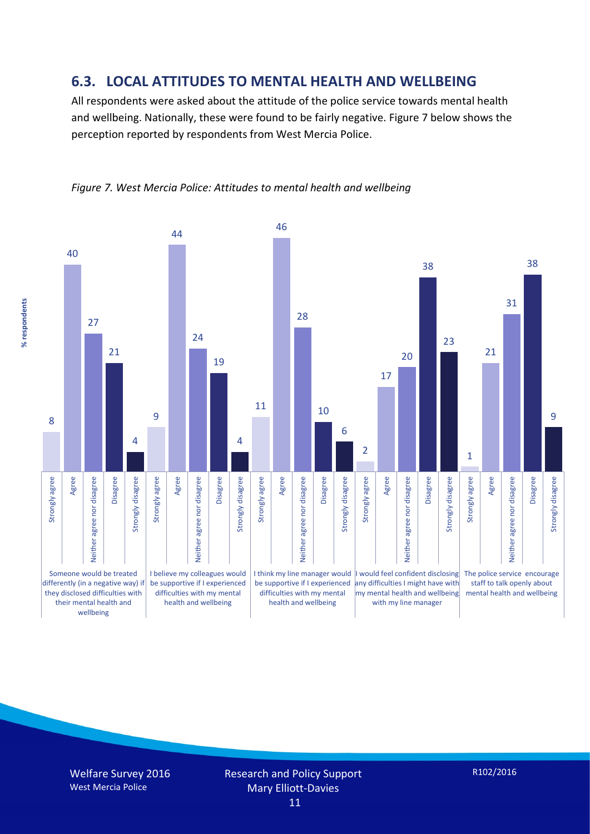### **6.3. LOCAL ATTITUDES TO MENTAL HEALTH AND WELLBEING**

All respondents were asked about the attitude of the police service towards mental health and wellbeing. Nationally, these were found to be fairly negative. Figure 7 below shows the perception reported by respondents from West Mercia Police.



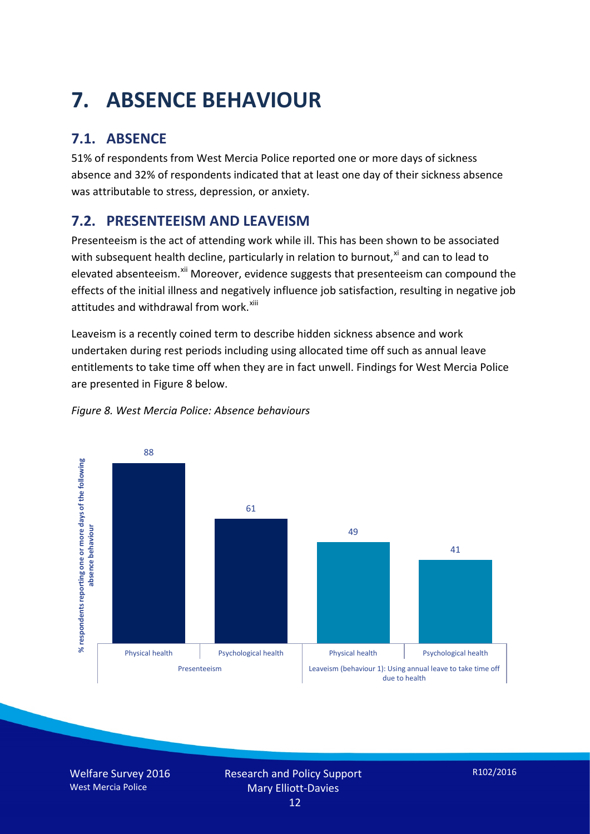# **7. ABSENCE BEHAVIOUR**

# **7.1. ABSENCE**

51% of respondents from West Mercia Police reported one or more days of sickness absence and 32% of respondents indicated that at least one day of their sickness absence was attributable to stress, depression, or anxiety.

# **7.2. PRESENTEEISM AND LEAVEISM**

Presenteeism is the act of attending work while ill. This has been shown to be associated with subsequent health decline, particularly in relation to burnout, $x_i$  and can to lead to elevated absenteeism.<sup>[xii](#page-16-1)</sup> Moreover, evidence suggests that presenteeism can compound the effects of the initial illness and negatively influence job satisfaction, resulting in negative job attitudes and withdrawal from work.<sup>[xiii](#page-16-2)</sup>

Leaveism is a recently coined term to describe hidden sickness absence and work undertaken during rest periods including using allocated time off such as annual leave entitlements to take time off when they are in fact unwell. Findings for West Mercia Police are presented in Figure 8 below.



#### *Figure 8. West Mercia Police: Absence behaviours*

Welfare Survey 2016 West Mercia Police

Research and Policy Support Mary Elliott-Davies 12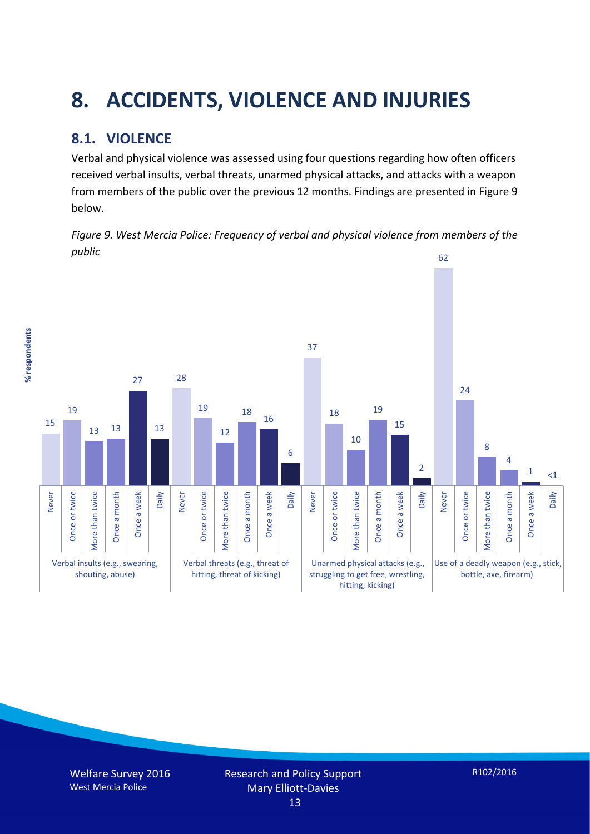# **8. ACCIDENTS, VIOLENCE AND INJURIES**

# **8.1. VIOLENCE**

% respondents **% respondents** Verbal and physical violence was assessed using four questions regarding how often officers received verbal insults, verbal threats, unarmed physical attacks, and attacks with a weapon from members of the public over the previous 12 months. Findings are presented in Figure 9 below.

*Figure 9. West Mercia Police: Frequency of verbal and physical violence from members of the public*

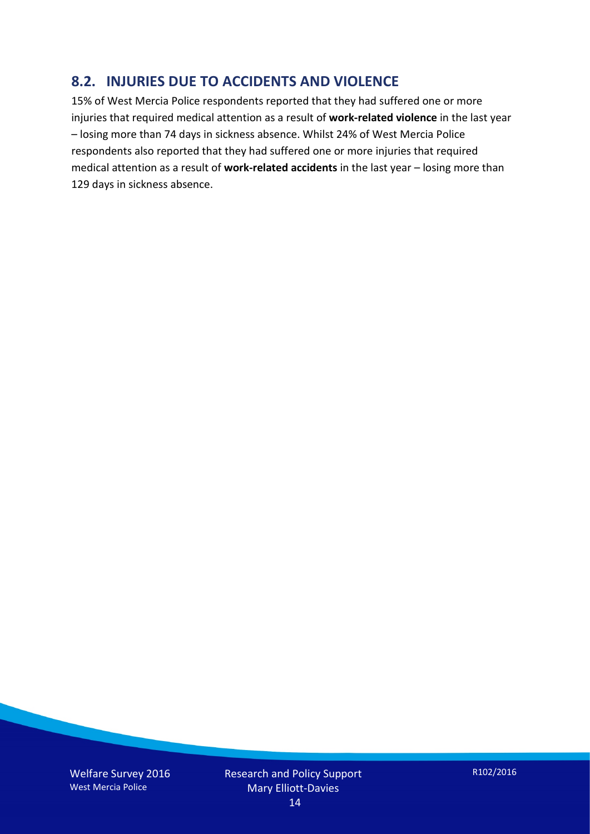### **8.2. INJURIES DUE TO ACCIDENTS AND VIOLENCE**

15% of West Mercia Police respondents reported that they had suffered one or more injuries that required medical attention as a result of **work-related violence** in the last year – losing more than 74 days in sickness absence. Whilst 24% of West Mercia Police respondents also reported that they had suffered one or more injuries that required medical attention as a result of **work-related accidents** in the last year – losing more than 129 days in sickness absence.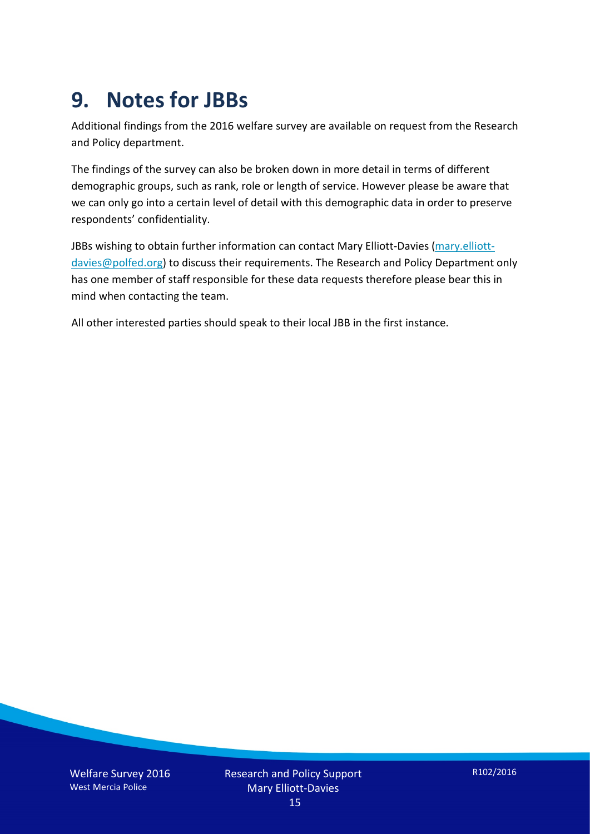# **9. Notes for JBBs**

Additional findings from the 2016 welfare survey are available on request from the Research and Policy department.

The findings of the survey can also be broken down in more detail in terms of different demographic groups, such as rank, role or length of service. However please be aware that we can only go into a certain level of detail with this demographic data in order to preserve respondents' confidentiality.

JBBs wishing to obtain further information can contact Mary Elliott-Davies [\(mary.elliott](mailto:mary.elliott-davies@polfed.org)[davies@polfed.org\)](mailto:mary.elliott-davies@polfed.org) to discuss their requirements. The Research and Policy Department only has one member of staff responsible for these data requests therefore please bear this in mind when contacting the team.

All other interested parties should speak to their local JBB in the first instance.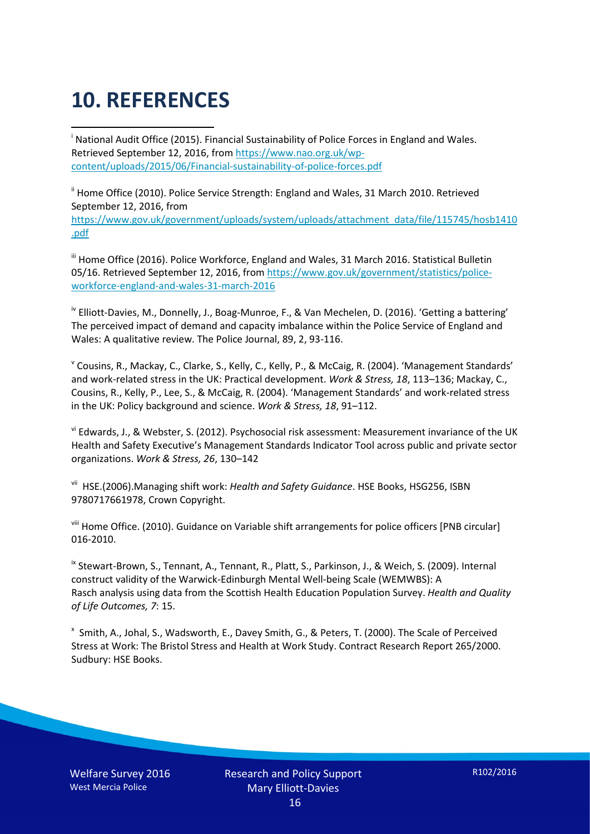# **10. REFERENCES**

<span id="page-15-0"></span>i National Audit Office (2015). Financial Sustainability of Police Forces in England and Wales. Retrieved September 12, 2016, fro[m https://www.nao.org.uk/wp](https://www.nao.org.uk/wp-content/uploads/2015/06/Financial-sustainability-of-police-forces.pdf)[content/uploads/2015/06/Financial-sustainability-of-police-forces.pdf](https://www.nao.org.uk/wp-content/uploads/2015/06/Financial-sustainability-of-police-forces.pdf)

<span id="page-15-1"></span><sup>ii</sup> Home Office (2010). Police Service Strength: England and Wales, 31 March 2010. Retrieved September 12, 2016, from [https://www.gov.uk/government/uploads/system/uploads/attachment\\_data/file/115745/hosb1410](https://www.gov.uk/government/uploads/system/uploads/attachment_data/file/115745/hosb1410.pdf) [.pdf](https://www.gov.uk/government/uploads/system/uploads/attachment_data/file/115745/hosb1410.pdf)

<span id="page-15-2"></span><sup>iii</sup> Home Office (2016). Police Workforce, England and Wales, 31 March 2016. Statistical Bulletin 05/16. Retrieved September 12, 2016, fro[m https://www.gov.uk/government/statistics/police](https://www.gov.uk/government/statistics/police-workforce-england-and-wales-31-march-2016)[workforce-england-and-wales-31-march-2016](https://www.gov.uk/government/statistics/police-workforce-england-and-wales-31-march-2016)

<span id="page-15-3"></span><sup>iv</sup> Elliott-Davies, M., Donnelly, J., Boag-Munroe, F., & Van Mechelen, D. (2016). 'Getting a battering' The perceived impact of demand and capacity imbalance within the Police Service of England and Wales: A qualitative review. The Police Journal, 89, 2, 93-116.

<span id="page-15-4"></span><sup>v</sup> Cousins, R., Mackay, C., Clarke, S., Kelly, C., Kelly, P., & McCaig, R. (2004). 'Management Standards' and work-related stress in the UK: Practical development. *Work & Stress, 18*, 113–136; Mackay, C., Cousins, R., Kelly, P., Lee, S., & McCaig, R. (2004). 'Management Standards' and work-related stress in the UK: Policy background and science. *Work & Stress, 18*, 91–112.

<span id="page-15-5"></span>vi Edwards, J., & Webster, S. (2012). Psychosocial risk assessment: Measurement invariance of the UK Health and Safety Executive's Management Standards Indicator Tool across public and private sector organizations. *Work & Stress, 26*, 130–142

<span id="page-15-6"></span>vii HSE.(2006).Managing shift work: *Health and Safety Guidance*. HSE Books, HSG256, ISBN 9780717661978, Crown Copyright.

<span id="page-15-7"></span>viii Home Office. (2010). Guidance on Variable shift arrangements for police officers [PNB circular] 016-2010.

<span id="page-15-8"></span><sup>ix</sup> Stewart-Brown, S., Tennant, A., Tennant, R., Platt, S., Parkinson, J., & Weich, S. (2009). Internal construct validity of the Warwick-Edinburgh Mental Well-being Scale (WEMWBS): A Rasch analysis using data from the Scottish Health Education Population Survey. *Health and Quality of Life Outcomes, 7*: 15.

<span id="page-15-9"></span>x Smith, A., Johal, S., Wadsworth, E., Davey Smith, G., & Peters, T. (2000). The Scale of Perceived Stress at Work: The Bristol Stress and Health at Work Study. Contract Research Report 265/2000. Sudbury: HSE Books.